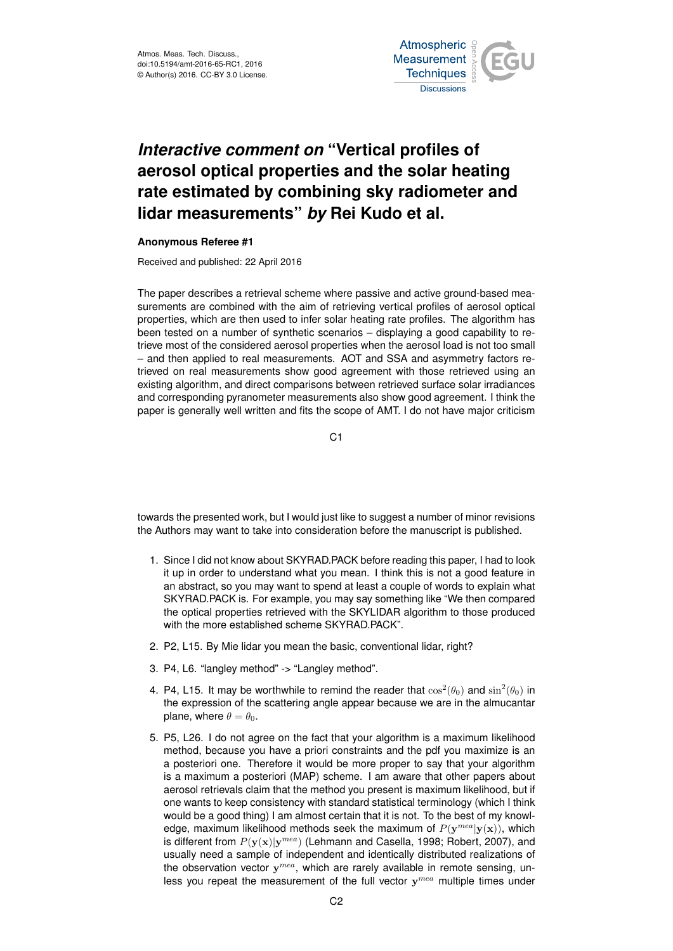

## *Interactive comment on* **"Vertical profiles of aerosol optical properties and the solar heating rate estimated by combining sky radiometer and lidar measurements"** *by* **Rei Kudo et al.**

## **Anonymous Referee #1**

Received and published: 22 April 2016

The paper describes a retrieval scheme where passive and active ground-based measurements are combined with the aim of retrieving vertical profiles of aerosol optical properties, which are then used to infer solar heating rate profiles. The algorithm has been tested on a number of synthetic scenarios – displaying a good capability to retrieve most of the considered aerosol properties when the aerosol load is not too small – and then applied to real measurements. AOT and SSA and asymmetry factors retrieved on real measurements show good agreement with those retrieved using an existing algorithm, and direct comparisons between retrieved surface solar irradiances and corresponding pyranometer measurements also show good agreement. I think the paper is generally well written and fits the scope of AMT. I do not have major criticism

C1

towards the presented work, but I would just like to suggest a number of minor revisions the Authors may want to take into consideration before the manuscript is published.

- 1. Since I did not know about SKYRAD.PACK before reading this paper, I had to look it up in order to understand what you mean. I think this is not a good feature in an abstract, so you may want to spend at least a couple of words to explain what SKYRAD.PACK is. For example, you may say something like "We then compared the optical properties retrieved with the SKYLIDAR algorithm to those produced with the more established scheme SKYRAD.PACK".
- 2. P2, L15. By Mie lidar you mean the basic, conventional lidar, right?
- 3. P4, L6. "langley method" -> "Langley method".
- 4. P4, L15. It may be worthwhile to remind the reader that  $\cos^2(\theta_0)$  and  $\sin^2(\theta_0)$  in the expression of the scattering angle appear because we are in the almucantar plane, where  $\theta = \theta_0$ .
- 5. P5, L26. I do not agree on the fact that your algorithm is a maximum likelihood method, because you have a priori constraints and the pdf you maximize is an a posteriori one. Therefore it would be more proper to say that your algorithm is a maximum a posteriori (MAP) scheme. I am aware that other papers about aerosol retrievals claim that the method you present is maximum likelihood, but if one wants to keep consistency with standard statistical terminology (which I think would be a good thing) I am almost certain that it is not. To the best of my knowledge, maximum likelihood methods seek the maximum of  $P(\mathbf{y}^{mea}|\mathbf{y}(\mathbf{x}))$ , which is different from  $P(y(x)|y^{mea})$  (Lehmann and Casella, 1998; Robert, 2007), and usually need a sample of independent and identically distributed realizations of the observation vector  $y^{mea}$ , which are rarely available in remote sensing, unless you repeat the measurement of the full vector  $y^{mea}$  multiple times under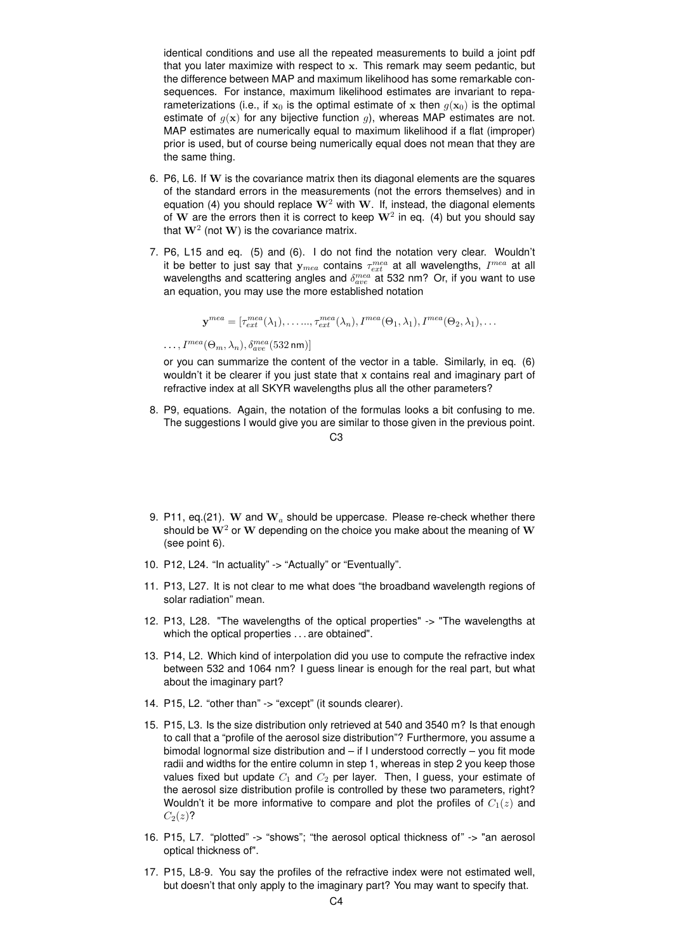identical conditions and use all the repeated measurements to build a joint pdf that you later maximize with respect to x. This remark may seem pedantic, but the difference between MAP and maximum likelihood has some remarkable consequences. For instance, maximum likelihood estimates are invariant to reparameterizations (i.e., if  $x_0$  is the optimal estimate of x then  $g(x_0)$  is the optimal estimate of  $g(x)$  for any bijective function g), whereas MAP estimates are not. MAP estimates are numerically equal to maximum likelihood if a flat (improper) prior is used, but of course being numerically equal does not mean that they are the same thing.

- 6. P6, L6. If W is the covariance matrix then its diagonal elements are the squares of the standard errors in the measurements (not the errors themselves) and in equation (4) you should replace  $W^2$  with W. If, instead, the diagonal elements of  ${\bf W}$  are the errors then it is correct to keep  ${\bf W}^2$  in eq. (4) but you should say that  $\mathbf{W}^2$  (not  $\mathbf{W})$  is the covariance matrix.
- 7. P6, L15 and eq. (5) and (6). I do not find the notation very clear. Wouldn't it be better to just say that  $\mathbf{y}_{mea}$  contains  $\tau_{ext}^{mea}$  at all wavelengths,  $I^{mea}$  at all wavelengths and scattering angles and  $\delta_{ave}^{mea}$  at 532 nm? Or, if you want to use an equation, you may use the more established notation

 $\mathbf{y}^{mea} = [\tau_{ext}^{mea}(\lambda_1), \ldots, \tau_{ext}^{mea}(\lambda_n), I^{mea}(\Theta_1, \lambda_1), I^{mea}(\Theta_2, \lambda_1), \ldots]$ 

 $\ldots, I^{mea}(\Theta_m, \lambda_n), \delta^{mea}_{ave}(532 \,\text{nm})]$ 

or you can summarize the content of the vector in a table. Similarly, in eq. (6) wouldn't it be clearer if you just state that x contains real and imaginary part of refractive index at all SKYR wavelengths plus all the other parameters?

8. P9, equations. Again, the notation of the formulas looks a bit confusing to me. The suggestions I would give you are similar to those given in the previous point.

 $C<sub>3</sub>$ 

- 9. P11, eq.(21). W and  $W_a$  should be uppercase. Please re-check whether there should be  $W^2$  or W depending on the choice you make about the meaning of W (see point 6).
- 10. P12, L24. "In actuality" -> "Actually" or "Eventually".
- 11. P13, L27. It is not clear to me what does "the broadband wavelength regions of solar radiation" mean.
- 12. P13, L28. "The wavelengths of the optical properties" -> "The wavelengths at which the optical properties . . . are obtained".
- 13. P14, L2. Which kind of interpolation did you use to compute the refractive index between 532 and 1064 nm? I guess linear is enough for the real part, but what about the imaginary part?
- 14. P15, L2. "other than" -> "except" (it sounds clearer).
- 15. P15, L3. Is the size distribution only retrieved at 540 and 3540 m? Is that enough to call that a "profile of the aerosol size distribution"? Furthermore, you assume a bimodal lognormal size distribution and – if I understood correctly – you fit mode radii and widths for the entire column in step 1, whereas in step 2 you keep those values fixed but update  $C_1$  and  $C_2$  per layer. Then, I guess, your estimate of the aerosol size distribution profile is controlled by these two parameters, right? Wouldn't it be more informative to compare and plot the profiles of  $C_1(z)$  and  $C_2(z)$ ?
- 16. P15, L7. "plotted" -> "shows"; "the aerosol optical thickness of" -> "an aerosol optical thickness of".
- 17. P15, L8-9. You say the profiles of the refractive index were not estimated well, but doesn't that only apply to the imaginary part? You may want to specify that.